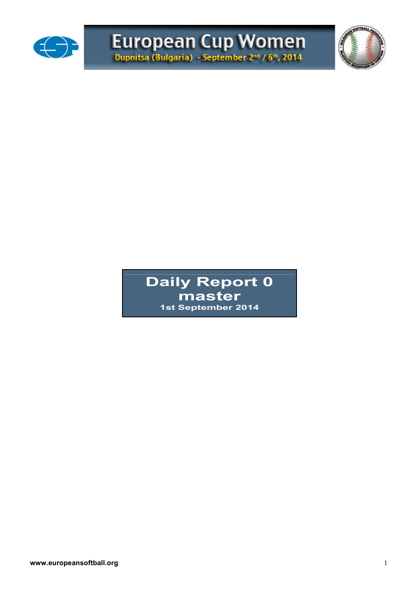



**Daily Report 0 master 1st September 2014**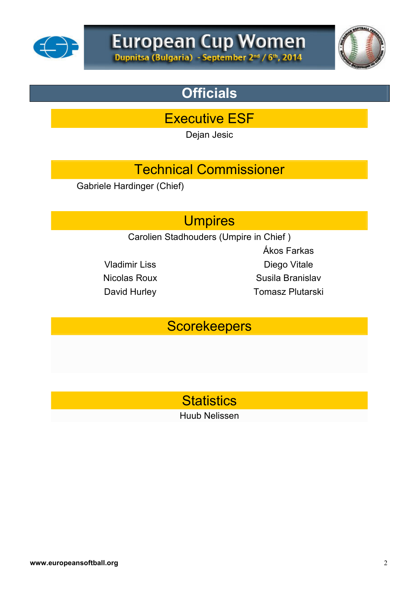



## **Officials**

Executive ESF

Dejan Jesic

### Technical Commissioner

Gabriele Hardinger (Chief)

#### **Umpires**

Carolien Stadhouders (Umpire in Chief )

Ákos Farkas Vladimir Liss Diego Vitale Nicolas Roux **Susila Branislav** David Hurley **Tomasz Plutarski** 

#### **Scorekeepers**

### **Statistics**

Huub Nelissen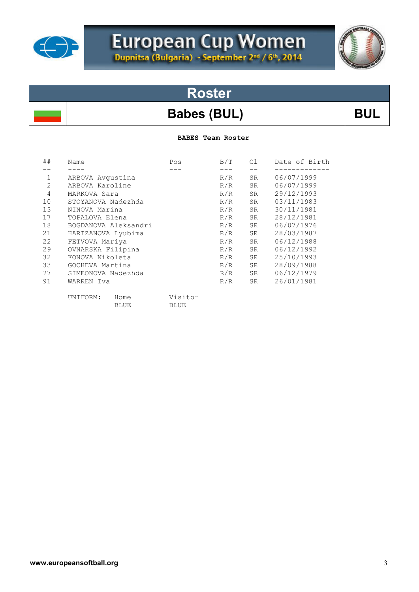

# European Cup Women<br>Dupnitsa (Bulgaria) - September 2<sup>md</sup> / 6<sup>th</sup>, 2014

## **Roster**

#### Babes (BUL) BUL

**BABES Team Roster** 

| ##             | Name                 | Pos         | B/T | C1 | Date of Birth |
|----------------|----------------------|-------------|-----|----|---------------|
|                |                      |             |     |    |               |
| 1              | ARBOVA Avgustina     |             | R/R | SR | 06/07/1999    |
| $\overline{2}$ | ARBOVA Karoline      |             | R/R | SR | 06/07/1999    |
| 4              | MARKOVA Sara         |             | R/R | SR | 29/12/1993    |
| 10             | STOYANOVA Nadezhda   |             | R/R | SR | 03/11/1983    |
| 13             | NINOVA Marina        |             | R/R | SR | 30/11/1981    |
| 17             | TOPALOVA Elena       |             | R/R | SR | 28/12/1981    |
| 18             | BOGDANOVA Aleksandri |             | R/R | SR | 06/07/1976    |
| 21             | HARIZANOVA Lyubima   |             | R/R | SR | 28/03/1987    |
| 22             | FETVOVA Mariya       |             | R/R | SR | 06/12/1988    |
| 29             | OVNARSKA Filipina    |             | R/R | SR | 06/12/1992    |
| 32             | KONOVA Nikoleta      |             | R/R | SR | 25/10/1993    |
| 33             | GOCHEVA Martina      |             | R/R | SR | 28/09/1988    |
| 77             | SIMEONOVA Nadezhda   |             | R/R | SR | 06/12/1979    |
| 91             | WARREN Iva           |             | R/R | SR | 26/01/1981    |
|                | UNIFORM:<br>Home     | Visitor     |     |    |               |
|                | <b>BLUE</b>          | <b>BLUE</b> |     |    |               |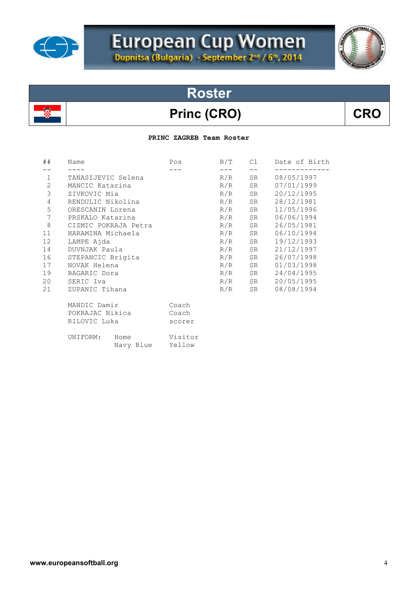

# European Cup Women<br>Dupnitsa (Bulgaria) - September 2<sup>md</sup> / 6<sup>th</sup>, 2014

# **Roster**

### Princ (CRO) CRO

#### **PRINC ZAGREB Team Roster**

| ##               | Name                          | Pos               | B/T   | C1    | Date of Birth |
|------------------|-------------------------------|-------------------|-------|-------|---------------|
|                  |                               |                   | $---$ | $- -$ |               |
| $\mathbf{1}$     | TANASIJEVIC Selena            |                   | R/R   | SR    | 08/05/1997    |
| $\mathbf{2}$     | MANCIC Katarina               |                   | R/R   | SR    | 07/01/1999    |
| 3                | ZIVKOVIC Mia                  |                   | R/R   | SR    | 20/12/1995    |
| $\overline{4}$   | RENDULIC Nikolina             |                   | R/R   | SR    | 28/12/1981    |
| 5                | ORESCANIN Lorena              |                   | R/R   | SR    | 11/05/1996    |
| $\boldsymbol{7}$ | PRSKALO Katarina              |                   | R/R   | SR    | 06/06/1994    |
| $\,8\,$          | CIZMIC POKRAJA Petra          |                   | R/R   | SR    | 26/05/1981    |
| 11               | HARAMINA Michaela             |                   | R/R   | SR    | 06/10/1994    |
| 12               | LAMPE Ajda                    |                   | R/R   | SR    | 19/12/1993    |
| 14               | DUVNJAK Paula                 |                   | R/R   | SR    | 21/12/1997    |
| 16               | STEPANCIC Brigita             |                   | R/R   | SR    | 26/07/1998    |
| 17               | NOVAK Helena                  |                   | R/R   | SR    | 01/03/1998    |
| 19               | BAGARIC Dora                  |                   | R/R   | SR    | 24/04/1995    |
| 20               | SERIC Iva                     |                   | R/R   | SR    | 20/05/1995    |
| 21               | ZUPANIC Tihana                |                   | R/R   | SR    | 08/08/1994    |
|                  | MANDIC Damir                  | Coach             |       |       |               |
|                  | POKRAJAC Nikica               | Coach             |       |       |               |
| RILOVIC Luka     |                               | scorer            |       |       |               |
|                  | UNIFORM:<br>Home<br>Navy Blue | Visitor<br>Yellow |       |       |               |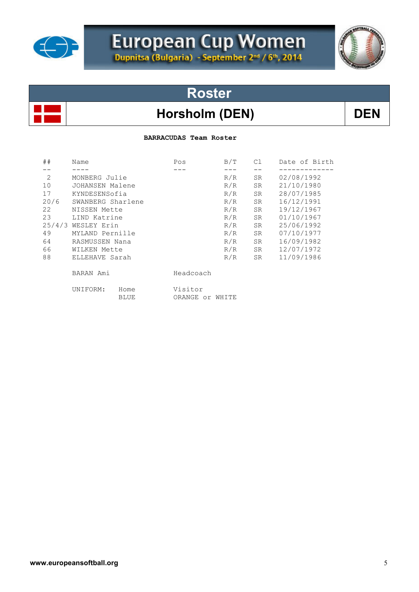

# European Cup Women



## **Roster**

#### Horsholm (DEN) DEN

#### **BARRACUDAS Team Roster**

| ##             | Name               |              |                            | B/T | C1        | Date of Birth |  |
|----------------|--------------------|--------------|----------------------------|-----|-----------|---------------|--|
|                |                    |              |                            |     |           |               |  |
| $\overline{2}$ | MONBERG Julie      |              |                            | R/R | SR        | 02/08/1992    |  |
| 10             | JOHANSEN Malene    |              |                            | R/R | SR        | 21/10/1980    |  |
| 17             | KYNDESENSofia      |              |                            | R/R | SR        | 28/07/1985    |  |
| 20/6           | SWANBERG Sharlene  |              |                            | R/R | SR        | 16/12/1991    |  |
| 22             | NISSEN Mette       |              |                            | R/R | SR.       | 19/12/1967    |  |
| 23             | LIND Katrine       |              |                            | R/R | <b>SR</b> | 01/10/1967    |  |
|                | 25/4/3 WESLEY Erin |              |                            | R/R | <b>SR</b> | 25/06/1992    |  |
| 49             | MYLAND Pernille    |              |                            | R/R | SR.       | 07/10/1977    |  |
| 64             | RASMUSSEN Nana     |              |                            | R/R | SR.       | 16/09/1982    |  |
| 66             | WILKEN Mette       |              |                            | R/R | SR        | 12/07/1972    |  |
| 88             | ELLEHAVE Sarah     |              |                            | R/R | SR.       | 11/09/1986    |  |
|                | BARAN Ami          |              | Headcoach                  |     |           |               |  |
|                | UNIFORM:           | Home<br>BLUE | Visitor<br>ORANGE or WHITE |     |           |               |  |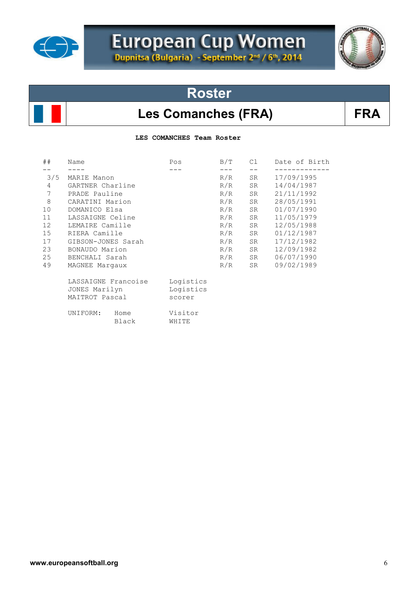

# European Cup Women



### **Roster**

#### Les Comanches (FRA) FRA

**LES COMANCHES Team Roster** 

| ##             | Name                                                   | Pos                              | B/T | C1 | Date of Birth |
|----------------|--------------------------------------------------------|----------------------------------|-----|----|---------------|
|                |                                                        |                                  |     |    |               |
| 3/5            | MARIE Manon                                            |                                  | R/R | SR | 17/09/1995    |
| $\overline{4}$ | GARTNER Charline                                       |                                  | R/R | SR | 14/04/1987    |
| $\overline{7}$ | PRADE Pauline                                          |                                  | R/R | SR | 21/11/1992    |
| $\,8\,$        | CARATINI Marion                                        |                                  | R/R | SR | 28/05/1991    |
| 10             | DOMANICO Elsa                                          |                                  | R/R | SR | 01/07/1990    |
| 11             | LASSAIGNE Celine                                       |                                  | R/R | SR | 11/05/1979    |
| 12             | LEMAIRE Camille                                        |                                  | R/R | SR | 12/05/1988    |
| 15             | RIERA Camille                                          |                                  | R/R | SR | 01/12/1987    |
| 17             | GIBSON-JONES Sarah                                     |                                  | R/R | SR | 17/12/1982    |
| 23             | BONAUDO Marion                                         |                                  | R/R | SR | 12/09/1982    |
| 25             | BENCHALI Sarah                                         |                                  | R/R | SR | 06/07/1990    |
| 49             | MAGNEE Margaux                                         |                                  | R/R | SR | 09/02/1989    |
|                | LASSAIGNE Francoise<br>JONES Marilyn<br>MAITROT Pascal | Logistics<br>Logistics<br>scorer |     |    |               |
|                | UNIFORM:<br>Home<br>Black                              | Visitor<br>WHITE                 |     |    |               |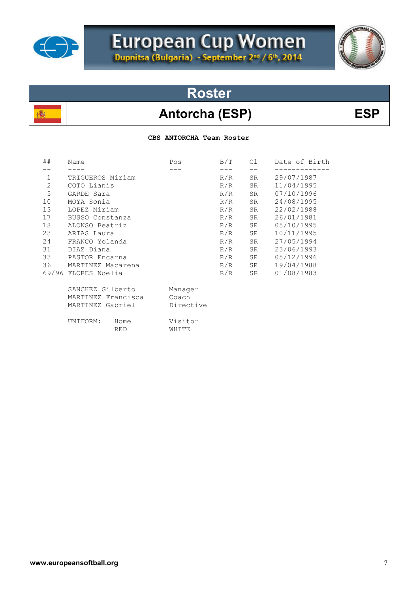

殲

# European Cup Women



**Roster**

#### Antorcha (ESP) BSP

 **CBS ANTORCHA Team Roster** 

| ##           | Name                | Pos       | B/T | C1 | Date of Birth |
|--------------|---------------------|-----------|-----|----|---------------|
|              |                     |           |     |    |               |
| $\mathbf{1}$ | TRIGUEROS Miriam    |           | R/R | SR | 29/07/1987    |
| 2            | COTO Lianis         |           | R/R | SR | 11/04/1995    |
| 5            | GARDE Sara          |           | R/R | SR | 07/10/1996    |
| 10           | MOYA Sonia          |           | R/R | SR | 24/08/1995    |
| 13           | LOPEZ Miriam        |           | R/R | SR | 22/02/1988    |
| 17           | BUSSO Constanza     |           | R/R | SR | 26/01/1981    |
| 18           | ALONSO Beatriz      |           | R/R | SR | 05/10/1995    |
| 23           | ARIAS Laura         |           | R/R | SR | 10/11/1995    |
| 24           | FRANCO Yolanda      |           | R/R | SR | 27/05/1994    |
| 31           | DIAZ Diana          |           | R/R | SR | 23/06/1993    |
| 33           | PASTOR Encarna      |           | R/R | SR | 05/12/1996    |
| 36           | MARTINEZ Macarena   |           | R/R | SR | 19/04/1988    |
|              | 69/96 FLORES Noelia |           | R/R | SR | 01/08/1983    |
|              | SANCHEZ Gilberto    | Manager   |     |    |               |
|              |                     |           |     |    |               |
|              | MARTINEZ Francisca  | Coach     |     |    |               |
|              | MARTINEZ Gabriel    | Directive |     |    |               |
|              | UNIFORM:<br>Home    | Visitor   |     |    |               |
|              | <b>RED</b>          | WHITE     |     |    |               |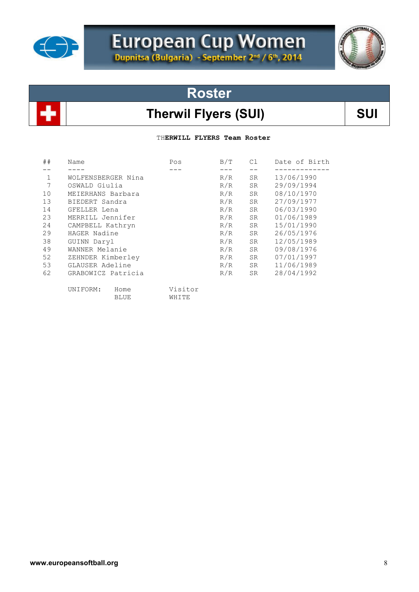

# European Cup Women

### **Roster**

### Therwil Flyers (SUI) SUI

TH**ERWILL FLYERS Team Roster**

| ##          | Name               | Pos     | B/T | C1         | Date of Birth |
|-------------|--------------------|---------|-----|------------|---------------|
|             |                    |         |     |            |               |
| $\mathbf 1$ | WOLFENSBERGER Nina |         | R/R | SR         | 13/06/1990    |
| 7           | OSWALD Giulia      | R/R     | SR  | 29/09/1994 |               |
| 10          | MEIERHANS Barbara  |         | R/R | SR.        | 08/10/1970    |
| 13          | BIEDERT Sandra     |         | R/R | SR.        | 27/09/1977    |
| 14          | GFELLER Lena       |         | R/R | SR.        | 06/03/1990    |
| 23          | MERRILL Jennifer   |         | R/R | <b>SR</b>  | 01/06/1989    |
| 24          | CAMPBELL Kathryn   |         | R/R | SR.        | 15/01/1990    |
| 29          | HAGER Nadine       |         | R/R | SR         | 26/05/1976    |
| 38          | GUINN Daryl        |         | R/R | SR         | 12/05/1989    |
| 49          | WANNER Melanie     |         | R/R | SR         | 09/08/1976    |
| 52          | ZEHNDER Kimberley  |         | R/R | SR         | 07/01/1997    |
| 53          | GLAUSER Adeline    |         | R/R | SR         | 11/06/1989    |
| 62          | GRABOWICZ Patricia |         | R/R | SR         | 28/04/1992    |
|             | UNIFORM:<br>Home   | Visitor |     |            |               |
|             | <b>BLUE</b>        | WHITE   |     |            |               |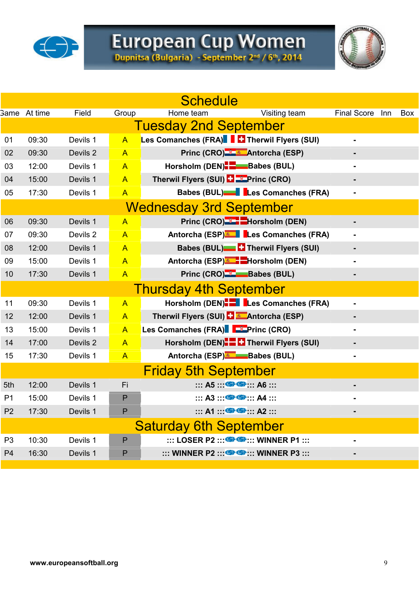

# European Cup Women<br>Dupnitsa (Bulgaria) - September 2nd / 6th, 2014



|                | <b>Schedule</b>     |          |                |                                                                             |                    |     |            |  |
|----------------|---------------------|----------|----------------|-----------------------------------------------------------------------------|--------------------|-----|------------|--|
|                | <b>Same</b> At time | Field    | Group          | Visiting team<br>Home team                                                  | <b>Final Score</b> | Inn | <b>Box</b> |  |
|                |                     |          |                | <b>Tuesday 2nd September</b>                                                |                    |     |            |  |
| 01             | 09:30               | Devils 1 | $\overline{A}$ | Les Comanches (FRA)   C Therwil Flyers (SUI)                                |                    |     |            |  |
| 02             | 09:30               | Devils 2 | $\overline{A}$ | Princ (CRO) & Antorcha (ESP)                                                |                    |     |            |  |
| 03             | 12:00               | Devils 1 | $\mathsf{A}$   | Horsholm (DEN) <sup>-</sup> -Babes (BUL)                                    | $\blacksquare$     |     |            |  |
| 04             | 15:00               | Devils 1 | $\overline{A}$ | Therwil Flyers (SUI) <b>ED</b> Princ (CRO)                                  |                    |     |            |  |
| 05             | 17:30               | Devils 1 | $\overline{A}$ | Babes (BUL)   Les Comanches (FRA)                                           |                    |     |            |  |
|                |                     |          |                | <b>Wednesday 3rd September</b>                                              |                    |     |            |  |
| 06             | 09:30               | Devils 1 | $\overline{A}$ | Princ (CRO) <sup>-2</sup> -Horsholm (DEN)                                   |                    |     |            |  |
| 07             | 09:30               | Devils 2 | $\overline{A}$ | Antorcha (ESP) Les Comanches (FRA)                                          | $\blacksquare$     |     |            |  |
| 08             | 12:00               | Devils 1 | $\overline{A}$ | <b>Babes (BUL) C</b> Therwil Flyers (SUI)                                   |                    |     |            |  |
| 09             | 15:00               | Devils 1 | $\overline{A}$ | Antorcha (ESP) <sup>*</sup> FHorsholm (DEN)                                 |                    |     |            |  |
| 10             | 17:30               | Devils 1 | $\overline{A}$ | Princ (CRO) E Babes (BUL)                                                   | $\blacksquare$     |     |            |  |
|                |                     |          |                | <b>Thursday 4th September</b>                                               |                    |     |            |  |
| 11             | 09:30               | Devils 1 | $\overline{A}$ | Horsholm (DEN). Les Comanches (FRA)                                         | $\blacksquare$     |     |            |  |
| 12             | 12:00               | Devils 1 | $\mathsf{A}$   | Therwil Flyers (SUI) <b>LE Antorcha (ESP)</b>                               |                    |     |            |  |
| 13             | 15:00               | Devils 1 | $\overline{A}$ | Les Comanches (FRA) FFInc (CRO)                                             |                    |     |            |  |
| 14             | 17:00               | Devils 2 | $\mathsf{A}$   | Horsholm (DEN). Therwil Flyers (SUI)                                        | -                  |     |            |  |
| 15             | 17:30               | Devils 1 | $\overline{A}$ | Antorcha (ESP) Babes (BUL)                                                  | -                  |     |            |  |
|                |                     |          |                | <b>Friday 5th September</b>                                                 |                    |     |            |  |
| 5th            | 12:00               | Devils 1 | Fi             | $\cdots$ A5 $\cdots$ G $\cdots$ A6 $\cdots$                                 |                    |     |            |  |
| P <sub>1</sub> | 15:00               | Devils 1 | $\mathsf{P}$   | $\cdots$ A3 $\cdots$ G $\cdots$ A4 $\cdots$                                 |                    |     |            |  |
| P <sub>2</sub> | 17:30               | Devils 1 | $\mathsf{P}$   | $\cdots$ A1 $\cdots$ G $\cdots$ A2 $\cdots$                                 | -                  |     |            |  |
|                |                     |          |                | <b>Saturday 6th September</b>                                               |                    |     |            |  |
| P <sub>3</sub> | 10:30               | Devils 1 | $\mathsf{P}$   | $\cdots$ LOSER P2 $\cdots$ $\bullet$ $\bullet$ $\cdots$ WINNER P1 $\cdots$  | -                  |     |            |  |
| P <sub>4</sub> | 16:30               | Devils 1 | P              | $\cdots$ WINNER P2 $\cdots$ $\bullet$ $\bullet$ $\cdots$ WINNER P3 $\cdots$ |                    |     |            |  |
|                |                     |          |                |                                                                             |                    |     |            |  |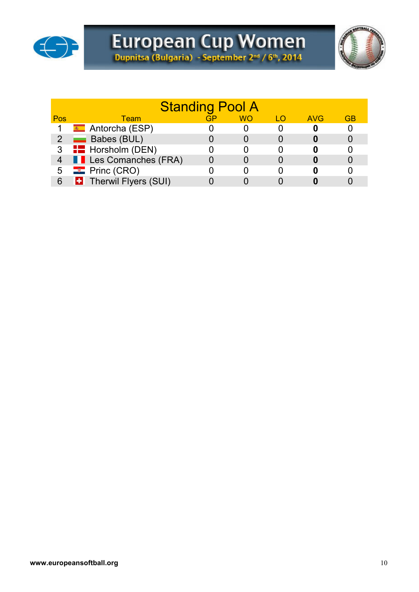



| <b>Standing Pool A</b> |                                      |    |           |     |            |           |  |  |
|------------------------|--------------------------------------|----|-----------|-----|------------|-----------|--|--|
| Pos                    | <b>Team</b>                          | GP | <b>WO</b> | 1 O | <b>AVG</b> | <b>GB</b> |  |  |
|                        | <u><sup>★</sup></u> Antorcha (ESP)   |    |           |     |            |           |  |  |
|                        | $2 \quad \blacksquare$ Babes (BUL)   |    |           |     |            |           |  |  |
|                        | 3 <b>For</b> Horsholm (DEN)          |    |           |     |            |           |  |  |
| 4                      | <b>Example 2</b> Les Comanches (FRA) |    |           |     |            |           |  |  |
| 5                      | $\blacksquare$ Princ (CRO)           |    |           |     |            |           |  |  |
| 6                      | <b>E.</b> Therwil Flyers (SUI)       |    |           |     |            |           |  |  |